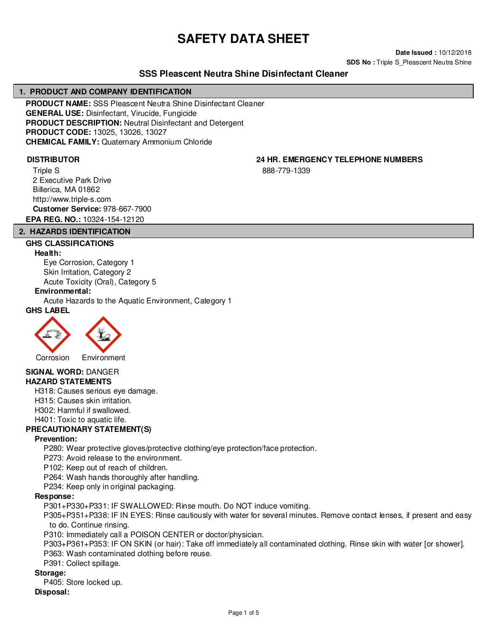# **SAFETY DATA SHEET**

**Date Issued :** 10/12/2018 **SDS No : Triple S\_Pleascent Neutra Shine** 

### **SSS Pleascent Neutra Shine Disinfectant Cleaner**

#### **1. PRODUCT AND COMPANY IDENTIFICATION**

**PRODUCT NAME:** SSS Pleascent Neutra Shine Disinfectant Cleaner **GENERAL USE:** Disinfectant, Virucide, Fungicide **PRODUCT DESCRIPTION:** Neutral Disinfectant and Detergent **PRODUCT CODE:** 13025, 13026, 13027 **CHEMICAL FAMILY:** Quaternary Ammonium Chloride

Triple S 2 Executive Park Drive Billerica, MA 01862 http://www.triple-s.com **Customer Service:** 978-667-7900

**DISTRIBUTOR 24 HR. EMERGENCY TELEPHONE NUMBERS** 888-779-1339

# **EPA REG. NO.:** 10324-154-12120

#### **2. HAZARDS IDENTIFICATION**

#### **GHS CLASSIFICATIONS**

**Health:**

Eye Corrosion, Category 1 Skin Irritation, Category 2 Acute Toxicity (Oral), Category 5

#### **Environmental:**

Acute Hazards to the Aquatic Environment, Category 1



Corrosion Environment

## **SIGNAL WORD:** DANGER

**HAZARD STATEMENTS**

H318: Causes serious eye damage.

H315: Causes skin irritation.

H302: Harmful if swallowed.

H401: Toxic to aquatic life.

#### **PRECAUTIONARY STATEMENT(S)**

#### **Prevention:**

P280: Wear protective gloves/protective clothing/eye protection/face protection.

P273: Avoid release to the environment.

P102: Keep out of reach of children.

P264: Wash hands thoroughly after handling.

P234: Keep only in original packaging.

#### **Response:**

P301+P330+P331: IF SWALLOWED: Rinse mouth. Do NOT induce vomiting.

P305+P351+P338: IF IN EYES: Rinse cautiously with water for several minutes. Remove contact lenses, if present and easy to do. Continue rinsing.

P310: Immediately call a POISON CENTER or doctor/physician.

P303+P361+P353: IF ON SKIN (or hair): Take off immediately all contaminated clothing. Rinse skin with water [or shower]. P363: Wash contaminated clothing before reuse.

P391: Collect spillage.

#### **Storage:**

P405: Store locked up.

### **Disposal:**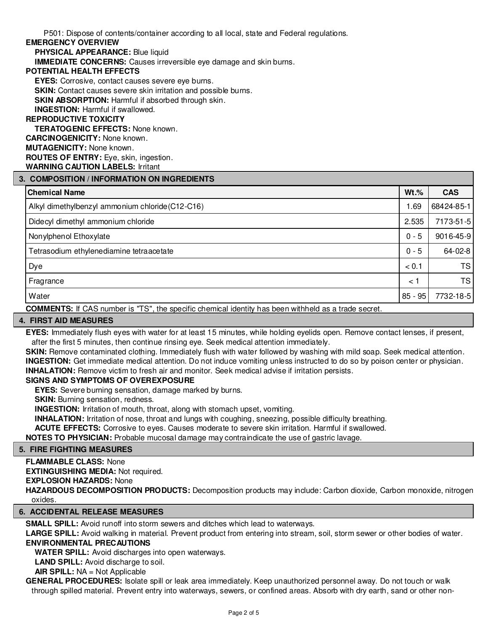P501: Dispose of contents/container according to all local, state and Federal regulations.

#### **EMERGENCY OVERVIEW**

**PHYSICAL APPEARANCE:** Blue liquid

**IMMEDIATE CONCERNS:** Causes irreversible eye damage and skin burns.

#### **POTENTIAL HEALTH EFFECTS**

**EYES:** Corrosive, contact causes severe eye burns. **SKIN:** Contact causes severe skin irritation and possible burns. **SKIN ABSORPTION: Harmful if absorbed through skin. INGESTION:** Harmful if swallowed.

#### **REPRODUCTIVE TOXICITY**

**TERATOGENIC EFFECTS:** None known. **CARCINOGENICITY:** None known. **MUTAGENICITY:** None known. **ROUTES OF ENTRY:** Eye, skin, ingestion. **WARNING CAUTION LABELS:** Irritant

#### **3. COMPOSITION / INFORMATION ON INGREDIENTS**

| <b>Chemical Name</b>                             | $Wt.\%$ | <b>CAS</b>    |
|--------------------------------------------------|---------|---------------|
| Alkyl dimethylbenzyl ammonium chloride (C12-C16) | 1.69    | 68424-85-1    |
| Didecyl dimethyl ammonium chloride               | 2.535   | 7173-51-5     |
| Nonylphenol Ethoxylate                           | $0 - 5$ | 9016-45-9     |
| Tetrasodium ethylenediamine tetraacetate         | $0 - 5$ | $64 - 02 - 8$ |
| Dye                                              | < 0.1   | <b>TS</b>     |
| Fragrance                                        | < 1     | <b>TS</b>     |
| Water                                            | 85 - 95 | 7732-18-5     |

**COMMENTS:** If CAS number is "TS", the specific chemical identity has been withheld as a trade secret.

#### **4. FIRST AID MEASURES**

**EYES:** Immediately flush eyes with water for at least 15 minutes, while holding eyelids open. Remove contact lenses, if present, after the first 5 minutes, then continue rinsing eye. Seek medical attention immediately.

**SKIN:** Remove contaminated clothing. Immediately flush with water followed by washing with mild soap. Seek medical attention. **INGESTION:** Get immediate medical attention. Do not induce vomiting unless instructed to do so by poison center or physician. **INHALATION:** Remove victim to fresh air and monitor. Seek medical advise if irritation persists.

#### **SIGNS AND SYMPTOMS OF OVEREXPOSURE**

**EYES:** Severe burning sensation, damage marked by burns.

**SKIN:** Burning sensation, redness.

**INGESTION:** Irritation of mouth, throat, along with stomach upset, vomiting.

**INHALATION:** Irritation of nose, throat and lungs with coughing, sneezing, possible difficulty breathing.

**ACUTE EFFECTS:** Corrosive to eyes. Causes moderate to severe skin irritation. Harmful if swallowed.

**NOTES TO PHYSICIAN:** Probable mucosal damage may contraindicate the use of gastric lavage.

#### **5. FIRE FIGHTING MEASURES**

**FLAMMABLE CLASS:** None **EXTINGUISHING MEDIA:** Not required.

**EXPLOSION HAZARDS:** None

**HAZARDOUS DECOMPOSITION PRODUCTS:** Decomposition products may include: Carbon dioxide, Carbon monoxide, nitrogen oxides.

#### **6. ACCIDENTAL RELEASE MEASURES**

**SMALL SPILL:** Avoid runoff into storm sewers and ditches which lead to waterways.

**LARGE SPILL:** Avoid walking in material. Prevent product from entering into stream, soil, storm sewer or other bodies of water.

### **ENVIRONMENTAL PRECAUTIONS**

**WATER SPILL:** Avoid discharges into open waterways.

**LAND SPILL:** Avoid discharge to soil.

**AIR SPILL:** NA = Not Applicable

**GENERAL PROCEDURES:** Isolate spill or leak area immediately. Keep unauthorized personnel away. Do not touch or walk through spilled material. Prevent entry into waterways, sewers, or confined areas. Absorb with dry earth, sand or other non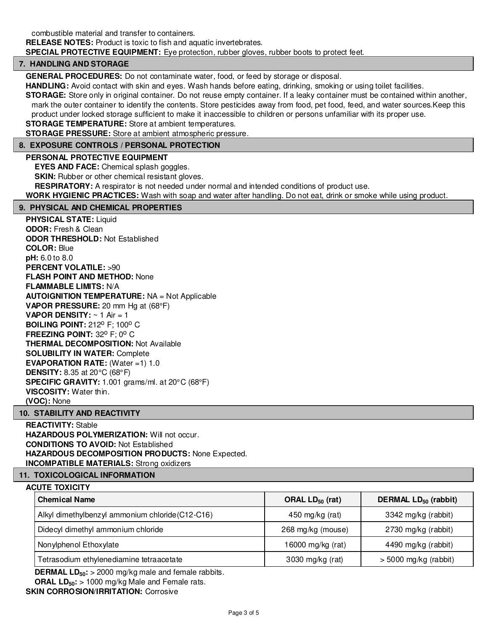combustible material and transfer to containers.

**RELEASE NOTES:** Product is toxic to fish and aquatic invertebrates.

**SPECIAL PROTECTIVE EQUIPMENT:** Eye protection, rubber gloves, rubber boots to protect feet.

#### **7. HANDLING AND STORAGE**

**GENERAL PROCEDURES:** Do not contaminate water, food, or feed by storage or disposal.

**HANDLING:** Avoid contact with skin and eyes. Wash hands before eating, drinking, smoking or using toilet facilities.

**STORAGE:** Store only in original container. Do not reuse empty container. If a leaky container must be contained within another, mark the outer container to identify the contents. Store pesticides away from food, pet food, feed, and water sources.Keep this product under locked storage sufficient to make it inaccessible to children or persons unfamiliar with its proper use.

**STORAGE TEMPERATURE:** Store at ambient temperatures.

**STORAGE PRESSURE:** Store at ambient atmospheric pressure.

#### **8. EXPOSURE CONTROLS / PERSONAL PROTECTION**

#### **PERSONAL PROTECTIVE EQUIPMENT**

**EYES AND FACE:** Chemical splash goggles.

**SKIN:** Rubber or other chemical resistant gloves.

**RESPIRATORY:** A respirator is not needed under normal and intended conditions of product use.

**WORK HYGIENIC PRACTICES:** Wash with soap and water after handling. Do not eat, drink or smoke while using product.

#### **9. PHYSICAL AND CHEMICAL PROPERTIES**

**PHYSICAL STATE:** Liquid **ODOR:** Fresh & Clean **ODOR THRESHOLD:** Not Established **COLOR:** Blue **pH:** 6.0 to 8.0 **PERCENT VOLATILE:** >90 **FLASH POINT AND METHOD:** None **FLAMMABLE LIMITS:** N/A **AUTOIGNITION TEMPERATURE:** NA = Not Applicable **VAPOR PRESSURE:** 20 mm Hg at (68°F) **VAPOR DENSITY:**  $\sim$  1 Air = 1 **BOILING POINT: 212° F: 100° C FREEZING POINT: 32° F; 0° C THERMAL DECOMPOSITION:** Not Available **SOLUBILITY IN WATER:** Complete **EVAPORATION RATE:** (Water =1) 1.0 **DENSITY:** 8.35 at 20°C (68°F) **SPECIFIC GRAVITY:** 1.001 grams/ml. at 20°C (68°F) **VISCOSITY:** Water thin. **(VOC):** None

#### **10. STABILITY AND REACTIVITY**

**REACTIVITY:** Stable **HAZARDOUS POLYMERIZATION: Will not occur. CONDITIONS TO AVOID:** Not Established **HAZARDOUS DECOMPOSITION PRODUCTS:** None Expected. **INCOMPATIBLE MATERIALS:** Strong oxidizers

#### **11. TOXICOLOGICAL INFORMATION**

#### **ACUTE TOXICITY**

| <b>Chemical Name</b>                             | ORAL $LD_{50}$ (rat) | DERMAL LD <sub>50</sub> (rabbit) |
|--------------------------------------------------|----------------------|----------------------------------|
| Alkyl dimethylbenzyl ammonium chloride (C12-C16) | 450 mg/kg (rat)      | 3342 mg/kg (rabbit)              |
| Didecyl dimethyl ammonium chloride               | 268 mg/kg (mouse)    | 2730 mg/kg (rabbit)              |
| Nonylphenol Ethoxylate                           | 16000 mg/kg (rat)    | 4490 mg/kg (rabbit)              |
| Tetrasodium ethylenediamine tetraacetate         | 3030 mg/kg $(rat)$   | $>$ 5000 mg/kg (rabbit)          |

**DERMAL LD50:** > 2000 mg/kg male and female rabbits.

**ORAL LD50:** > 1000 mg/kg Male and Female rats.

**SKIN CORROSION/IRRITATION: Corrosive**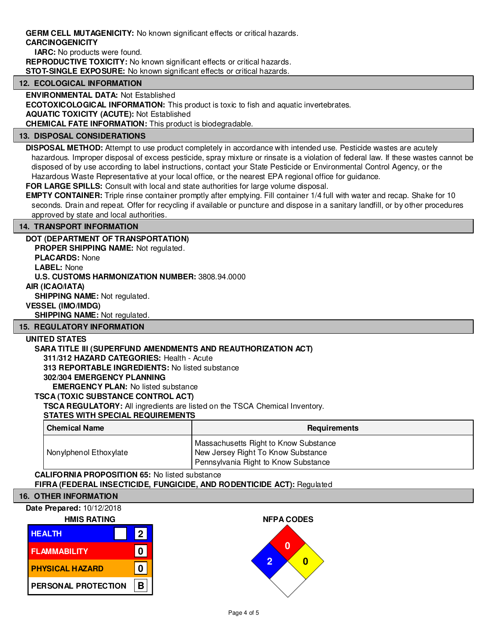#### **GERM CELL MUTAGENICITY:** No known significant effects or critical hazards. **CARCINOGENICITY**

**IARC:** No products were found.

**REPRODUCTIVE TOXICITY:** No known significant effects or critical hazards.

**STOT-SINGLE EXPOSURE:** No known significant effects or critical hazards.

### **12. ECOLOGICAL INFORMATION**

**ENVIRONMENTAL DATA:** Not Established

**ECOTOXICOLOGICAL INFORMATION:** This product is toxic to fish and aquatic invertebrates.

**AQUATIC TOXICITY (ACUTE):** Not Established

**CHEMICAL FATE INFORMATION:** This product is biodegradable.

#### **13. DISPOSAL CONSIDERATIONS**

**DISPOSAL METHOD:** Attempt to use product completely in accordance with intended use. Pesticide wastes are acutely hazardous. Improper disposal of excess pesticide, spray mixture or rinsate is a violation of federal law. If these wastes cannot be disposed of by use according to label instructions, contact your State Pesticide or Environmental Control Agency, or the Hazardous Waste Representative at your local office, or the nearest EPA regional office for guidance.

**FOR LARGE SPILLS:** Consult with local and state authorities for large volume disposal.

**EMPTY CONTAINER:** Triple rinse container promptly after emptying. Fill container 1/4 full with water and recap. Shake for 10 seconds. Drain and repeat. Offer for recycling if available or puncture and dispose in a sanitary landfill, or by other procedures approved by state and local authorities.

#### **14. TRANSPORT INFORMATION**

#### **DOT (DEPARTMENT OF TRANSPORTATION)**

**PROPER SHIPPING NAME:** Not regulated. **PLACARDS:** None

**LABEL:** None

**U.S. CUSTOMS HARMONIZATION NUMBER:** 3808.94.0000

**AIR (ICAO/IATA)**

**SHIPPING NAME:** Not regulated.

#### **VESSEL (IMO/IMDG)**

**SHIPPING NAME:** Not regulated.

**15. REGULATORY INFORMATION**

#### **UNITED STATES**

#### **SARA TITLE III (SUPERFUND AMENDMENTS AND REAUTHORIZATION ACT)**

**311/312 HAZARD CATEGORIES:** Health - Acute

**313 REPORTABLE INGREDIENTS:** No listed substance

#### **302/304 EMERGENCY PLANNING**

**EMERGENCY PLAN:** No listed substance

#### **TSCA (TOXIC SUBSTANCE CONTROL ACT)**

**TSCA REGULATORY:** All ingredients are listed on the TSCA Chemical Inventory.

#### **STATES WITH SPECIAL REQUIREMENTS**

| <b>Chemical Name</b>   | <b>Requirements</b>                                                                                                   |
|------------------------|-----------------------------------------------------------------------------------------------------------------------|
| Nonylphenol Ethoxylate | Massachusetts Right to Know Substance<br>I New Jersey Right To Know Substance<br>Pennsylvania Right to Know Substance |

#### **CALIFORNIA PROPOSITION 65:** No listed substance

#### **FIFRA (FEDERAL INSECTICIDE, FUNGICIDE, AND RODENTICIDE ACT):** Regulated

#### **16. OTHER INFORMATION**

**Date Prepared:** 10/12/2018

#### **HMIS RATING**

| <b>HEALTH</b>              | $\mathbf{2}$ |
|----------------------------|--------------|
| <b>FLAMMABILITY</b>        |              |
| <b>PHYSICAL HAZARD</b>     |              |
| <b>PERSONAL PROTECTION</b> |              |